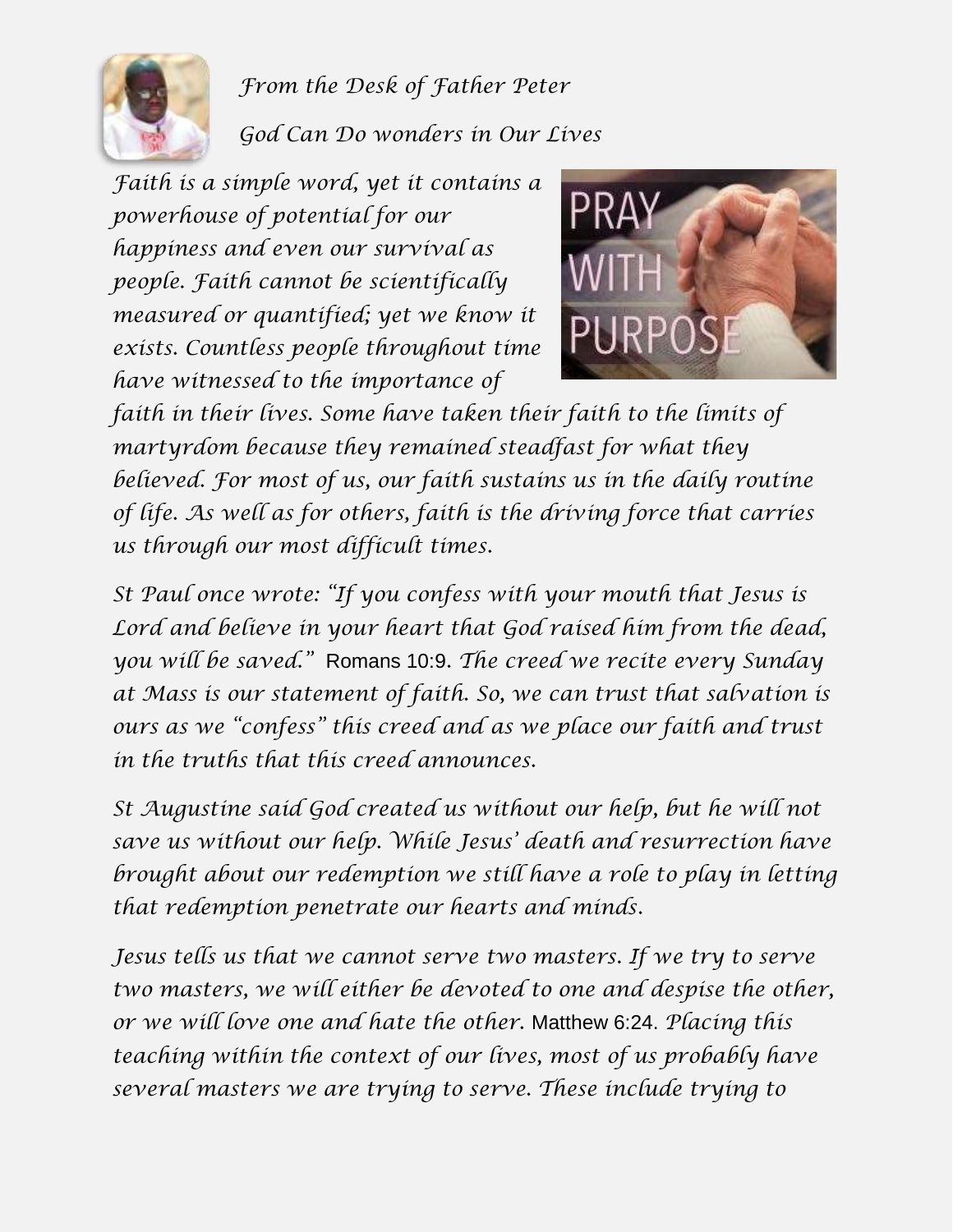

*From the Desk of Father Peter God Can Do wonders in Our Lives*

*Faith is a simple word, yet it contains a powerhouse of potential for our happiness and even our survival as people. Faith cannot be scientifically measured or quantified; yet we know it exists. Countless people throughout time have witnessed to the importance of* 



*faith in their lives. Some have taken their faith to the limits of martyrdom because they remained steadfast for what they believed. For most of us, our faith sustains us in the daily routine of life. As well as for others, faith is the driving force that carries us through our most difficult times.*

*St Paul once wrote: "If you confess with your mouth that Jesus is Lord and believe in your heart that God raised him from the dead, you will be saved."* Romans 10:9*. The creed we recite every Sunday at Mass is our statement of faith. So, we can trust that salvation is ours as we "confess" this creed and as we place our faith and trust in the truths that this creed announces.*

*St Augustine said God created us without our help, but he will not save us without our help. While Jesus' death and resurrection have brought about our redemption we still have a role to play in letting that redemption penetrate our hearts and minds.*

*Jesus tells us that we cannot serve two masters. If we try to serve two masters, we will either be devoted to one and despise the other, or we will love one and hate the other.* Matthew 6:24. *Placing this teaching within the context of our lives, most of us probably have several masters we are trying to serve. These include trying to*